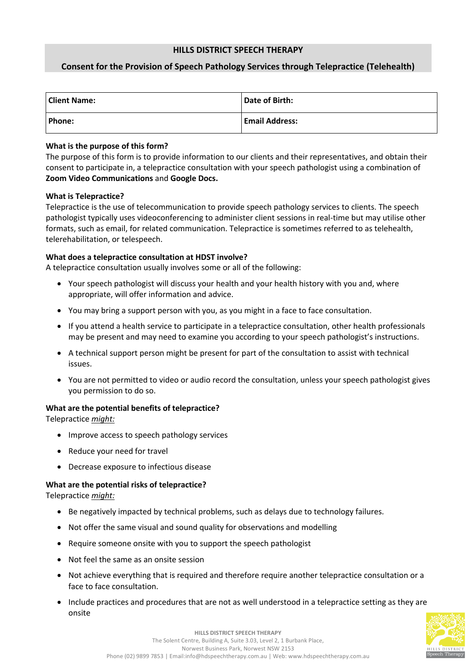## **HILLS DISTRICT SPEECH THERAPY**

# **Consent for the Provision of Speech Pathology Services through Telepractice (Telehealth)**

| <b>Client Name:</b> | Date of Birth:        |
|---------------------|-----------------------|
| Phone:              | <b>Email Address:</b> |

## **What is the purpose of this form?**

The purpose of this form is to provide information to our clients and their representatives, and obtain their consent to participate in, a telepractice consultation with your speech pathologist using a combination of **Zoom Video Communications** and **Google Docs.** 

#### **What is Telepractice?**

Telepractice is the use of telecommunication to provide speech pathology services to clients. The speech pathologist typically uses videoconferencing to administer client sessions in real-time but may utilise other formats, such as email, for related communication. Telepractice is sometimes referred to as telehealth, telerehabilitation, or telespeech.

## **What does a telepractice consultation at HDST involve?**

A telepractice consultation usually involves some or all of the following:

- Your speech pathologist will discuss your health and your health history with you and, where appropriate, will offer information and advice.
- You may bring a support person with you, as you might in a face to face consultation.
- If you attend a health service to participate in a telepractice consultation, other health professionals may be present and may need to examine you according to your speech pathologist's instructions.
- A technical support person might be present for part of the consultation to assist with technical issues.
- You are not permitted to video or audio record the consultation, unless your speech pathologist gives you permission to do so.

#### **What are the potential benefits of telepractice?**

Telepractice *might:*

- Improve access to speech pathology services
- Reduce your need for travel
- Decrease exposure to infectious disease

## **What are the potential risks of telepractice?**

Telepractice *might:*

- Be negatively impacted by technical problems, such as delays due to technology failures.
- Not offer the same visual and sound quality for observations and modelling
- Require someone onsite with you to support the speech pathologist
- Not feel the same as an onsite session
- Not achieve everything that is required and therefore require another telepractice consultation or a face to face consultation.
- Include practices and procedures that are not as well understood in a telepractice setting as they are onsite